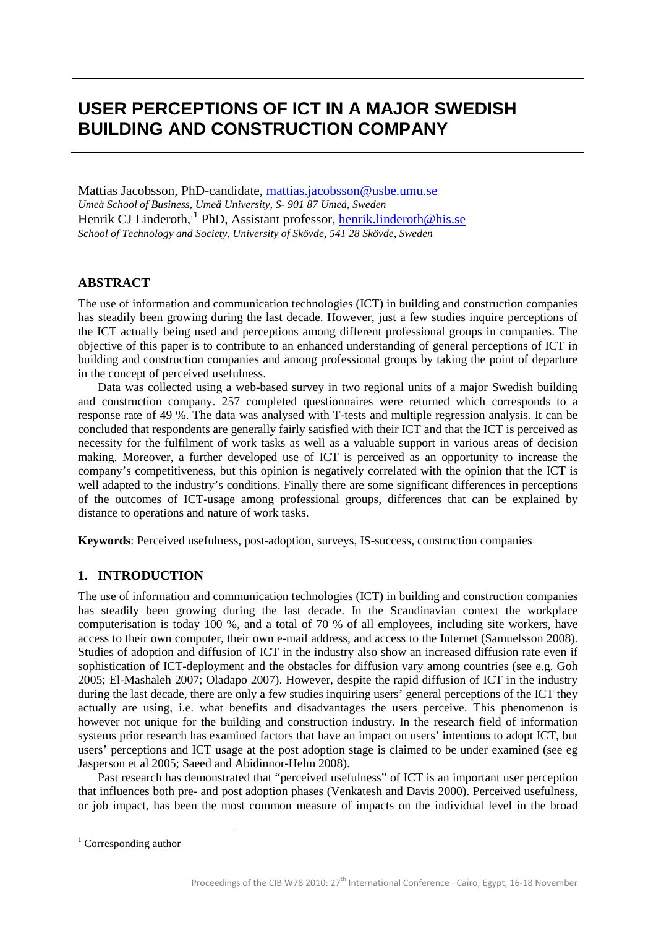# **USER PERCEPTIONS OF ICT IN A MAJOR SWEDISH BUILDING AND CONSTRUCTION COMPANY**

Mattias Jacobsson, PhD-candidate, [mattias.jacobsson@usbe.umu.se](mailto:mattias.jacobsson@usbe.umu.se) *Umeå School of Business, Umeå University, S- 901 87 Umeå, Sweden* Henrik CJ Linderoth,<sup>[1](#page-0-0)</sup> PhD, Assistant professor, [henrik.linderoth@his.se](mailto:henrik.linderoth@his.se) *School of Technology and Society, University of Skövde, 541 28 Skövde, Sweden*

### **ABSTRACT**

The use of information and communication technologies (ICT) in building and construction companies has steadily been growing during the last decade. However, just a few studies inquire perceptions of the ICT actually being used and perceptions among different professional groups in companies. The objective of this paper is to contribute to an enhanced understanding of general perceptions of ICT in building and construction companies and among professional groups by taking the point of departure in the concept of perceived usefulness.

Data was collected using a web-based survey in two regional units of a major Swedish building and construction company. 257 completed questionnaires were returned which corresponds to a response rate of 49 %. The data was analysed with T-tests and multiple regression analysis. It can be concluded that respondents are generally fairly satisfied with their ICT and that the ICT is perceived as necessity for the fulfilment of work tasks as well as a valuable support in various areas of decision making. Moreover, a further developed use of ICT is perceived as an opportunity to increase the company's competitiveness, but this opinion is negatively correlated with the opinion that the ICT is well adapted to the industry's conditions. Finally there are some significant differences in perceptions of the outcomes of ICT-usage among professional groups, differences that can be explained by distance to operations and nature of work tasks.

**Keywords**: Perceived usefulness, post-adoption, surveys, IS-success, construction companies

# **1. INTRODUCTION**

The use of information and communication technologies (ICT) in building and construction companies has steadily been growing during the last decade. In the Scandinavian context the workplace computerisation is today 100 %, and a total of 70 % of all employees, including site workers, have access to their own computer, their own e-mail address, and access to the Internet (Samuelsson 2008). Studies of adoption and diffusion of ICT in the industry also show an increased diffusion rate even if sophistication of ICT-deployment and the obstacles for diffusion vary among countries (see e.g. Goh 2005; El-Mashaleh 2007; Oladapo 2007). However, despite the rapid diffusion of ICT in the industry during the last decade, there are only a few studies inquiring users' general perceptions of the ICT they actually are using, i.e. what benefits and disadvantages the users perceive. This phenomenon is however not unique for the building and construction industry. In the research field of information systems prior research has examined factors that have an impact on users' intentions to adopt ICT, but users' perceptions and ICT usage at the post adoption stage is claimed to be under examined (see eg Jasperson et al 2005; Saeed and Abidinnor-Helm 2008).

Past research has demonstrated that "perceived usefulness" of ICT is an important user perception that influences both pre- and post adoption phases (Venkatesh and Davis 2000). Perceived usefulness, or job impact, has been the most common measure of impacts on the individual level in the broad

<span id="page-0-0"></span><sup>&</sup>lt;sup>1</sup> Corresponding author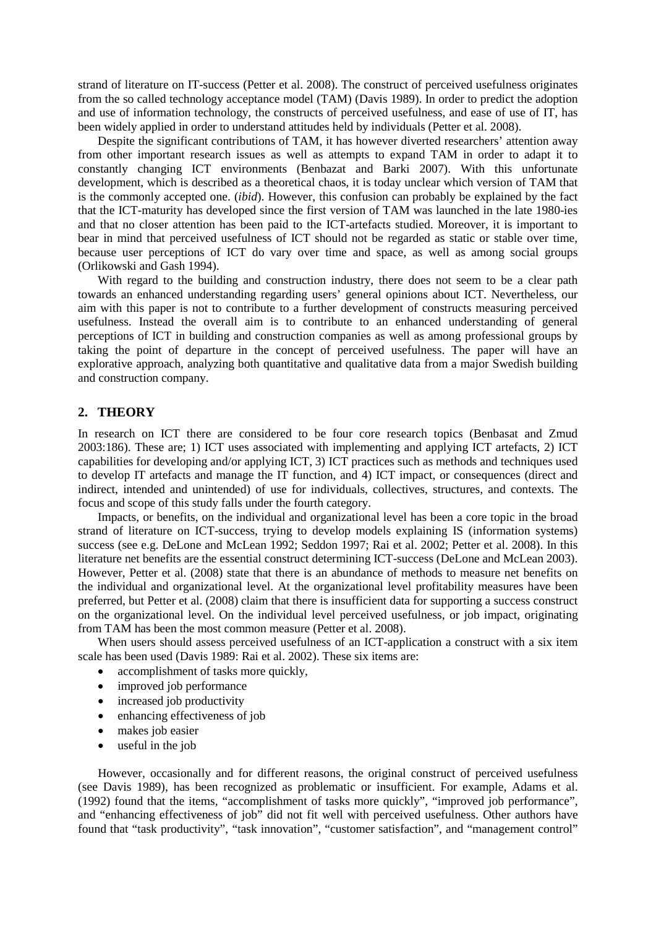strand of literature on IT-success (Petter et al. 2008). The construct of perceived usefulness originates from the so called technology acceptance model (TAM) (Davis 1989). In order to predict the adoption and use of information technology, the constructs of perceived usefulness, and ease of use of IT, has been widely applied in order to understand attitudes held by individuals (Petter et al. 2008).

Despite the significant contributions of TAM, it has however diverted researchers' attention away from other important research issues as well as attempts to expand TAM in order to adapt it to constantly changing ICT environments (Benbazat and Barki 2007). With this unfortunate development, which is described as a theoretical chaos, it is today unclear which version of TAM that is the commonly accepted one. (*ibid*). However, this confusion can probably be explained by the fact that the ICT-maturity has developed since the first version of TAM was launched in the late 1980-ies and that no closer attention has been paid to the ICT-artefacts studied. Moreover, it is important to bear in mind that perceived usefulness of ICT should not be regarded as static or stable over time, because user perceptions of ICT do vary over time and space, as well as among social groups (Orlikowski and Gash 1994).

With regard to the building and construction industry, there does not seem to be a clear path towards an enhanced understanding regarding users' general opinions about ICT. Nevertheless, our aim with this paper is not to contribute to a further development of constructs measuring perceived usefulness. Instead the overall aim is to contribute to an enhanced understanding of general perceptions of ICT in building and construction companies as well as among professional groups by taking the point of departure in the concept of perceived usefulness. The paper will have an explorative approach, analyzing both quantitative and qualitative data from a major Swedish building and construction company.

### **2. THEORY**

In research on ICT there are considered to be four core research topics (Benbasat and Zmud 2003:186). These are; 1) ICT uses associated with implementing and applying ICT artefacts, 2) ICT capabilities for developing and/or applying ICT, 3) ICT practices such as methods and techniques used to develop IT artefacts and manage the IT function, and 4) ICT impact, or consequences (direct and indirect, intended and unintended) of use for individuals, collectives, structures, and contexts. The focus and scope of this study falls under the fourth category.

Impacts, or benefits, on the individual and organizational level has been a core topic in the broad strand of literature on ICT-success, trying to develop models explaining IS (information systems) success (see e.g. DeLone and McLean 1992; Seddon 1997; Rai et al. 2002; Petter et al. 2008). In this literature net benefits are the essential construct determining ICT-success (DeLone and McLean 2003). However, Petter et al. (2008) state that there is an abundance of methods to measure net benefits on the individual and organizational level. At the organizational level profitability measures have been preferred, but Petter et al. (2008) claim that there is insufficient data for supporting a success construct on the organizational level. On the individual level perceived usefulness, or job impact, originating from TAM has been the most common measure (Petter et al. 2008).

When users should assess perceived usefulness of an ICT-application a construct with a six item scale has been used (Davis 1989: Rai et al. 2002). These six items are:

- accomplishment of tasks more quickly,
- improved job performance
- increased job productivity
- enhancing effectiveness of job
- makes job easier
- useful in the job

However, occasionally and for different reasons, the original construct of perceived usefulness (see Davis 1989), has been recognized as problematic or insufficient. For example, Adams et al. (1992) found that the items, "accomplishment of tasks more quickly", "improved job performance", and "enhancing effectiveness of job" did not fit well with perceived usefulness. Other authors have found that "task productivity", "task innovation", "customer satisfaction", and "management control"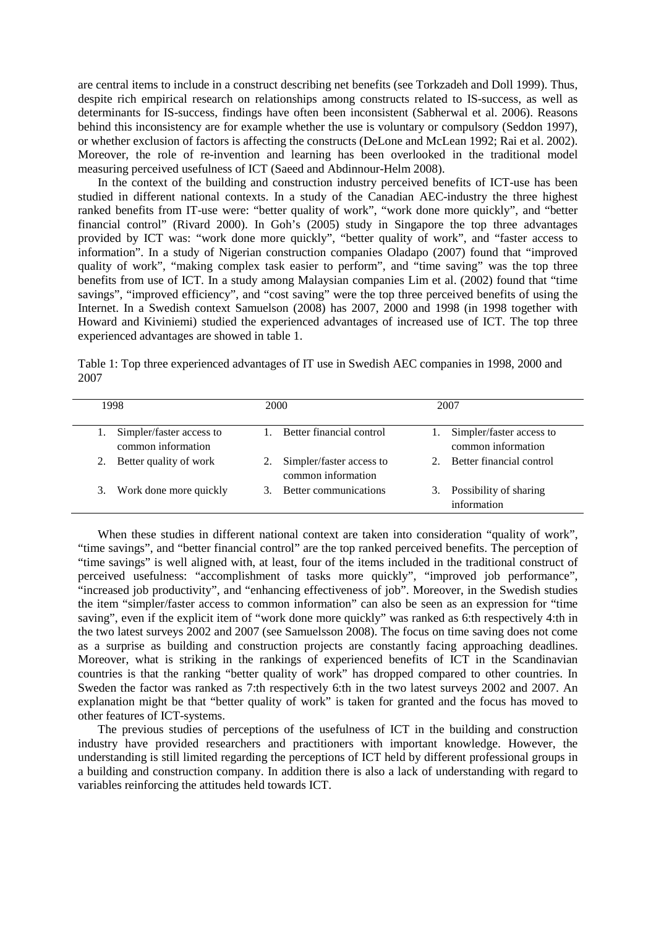are central items to include in a construct describing net benefits (see Torkzadeh and Doll 1999). Thus, despite rich empirical research on relationships among constructs related to IS-success, as well as determinants for IS-success, findings have often been inconsistent (Sabherwal et al. 2006). Reasons behind this inconsistency are for example whether the use is voluntary or compulsory (Seddon 1997), or whether exclusion of factors is affecting the constructs (DeLone and McLean 1992; Rai et al. 2002). Moreover, the role of re-invention and learning has been overlooked in the traditional model measuring perceived usefulness of ICT (Saeed and Abdinnour-Helm 2008).

In the context of the building and construction industry perceived benefits of ICT-use has been studied in different national contexts. In a study of the Canadian AEC-industry the three highest ranked benefits from IT-use were: "better quality of work", "work done more quickly", and "better financial control" (Rivard 2000). In Goh's (2005) study in Singapore the top three advantages provided by ICT was: "work done more quickly", "better quality of work", and "faster access to information". In a study of Nigerian construction companies Oladapo (2007) found that "improved quality of work", "making complex task easier to perform", and "time saving" was the top three benefits from use of ICT. In a study among Malaysian companies Lim et al. (2002) found that "time savings", "improved efficiency", and "cost saving" were the top three perceived benefits of using the Internet. In a Swedish context Samuelson (2008) has 2007, 2000 and 1998 (in 1998 together with Howard and Kiviniemi) studied the experienced advantages of increased use of ICT. The top three experienced advantages are showed in table 1.

Table 1: Top three experienced advantages of IT use in Swedish AEC companies in 1998, 2000 and 2007

| 1998                                           | 2000                                           | 2007                                           |  |
|------------------------------------------------|------------------------------------------------|------------------------------------------------|--|
| Simpler/faster access to<br>common information | Better financial control                       | Simpler/faster access to<br>common information |  |
| Better quality of work                         | Simpler/faster access to<br>common information | Better financial control                       |  |
| Work done more quickly<br>3.                   | Better communications                          | Possibility of sharing<br>3.<br>information    |  |

When these studies in different national context are taken into consideration "quality of work", "time savings", and "better financial control" are the top ranked perceived benefits. The perception of "time savings" is well aligned with, at least, four of the items included in the traditional construct of perceived usefulness: "accomplishment of tasks more quickly", "improved job performance", "increased job productivity", and "enhancing effectiveness of job". Moreover, in the Swedish studies the item "simpler/faster access to common information" can also be seen as an expression for "time saving", even if the explicit item of "work done more quickly" was ranked as 6:th respectively 4:th in the two latest surveys 2002 and 2007 (see Samuelsson 2008). The focus on time saving does not come as a surprise as building and construction projects are constantly facing approaching deadlines. Moreover, what is striking in the rankings of experienced benefits of ICT in the Scandinavian countries is that the ranking "better quality of work" has dropped compared to other countries. In Sweden the factor was ranked as 7:th respectively 6:th in the two latest surveys 2002 and 2007. An explanation might be that "better quality of work" is taken for granted and the focus has moved to other features of ICT-systems.

The previous studies of perceptions of the usefulness of ICT in the building and construction industry have provided researchers and practitioners with important knowledge. However, the understanding is still limited regarding the perceptions of ICT held by different professional groups in a building and construction company. In addition there is also a lack of understanding with regard to variables reinforcing the attitudes held towards ICT.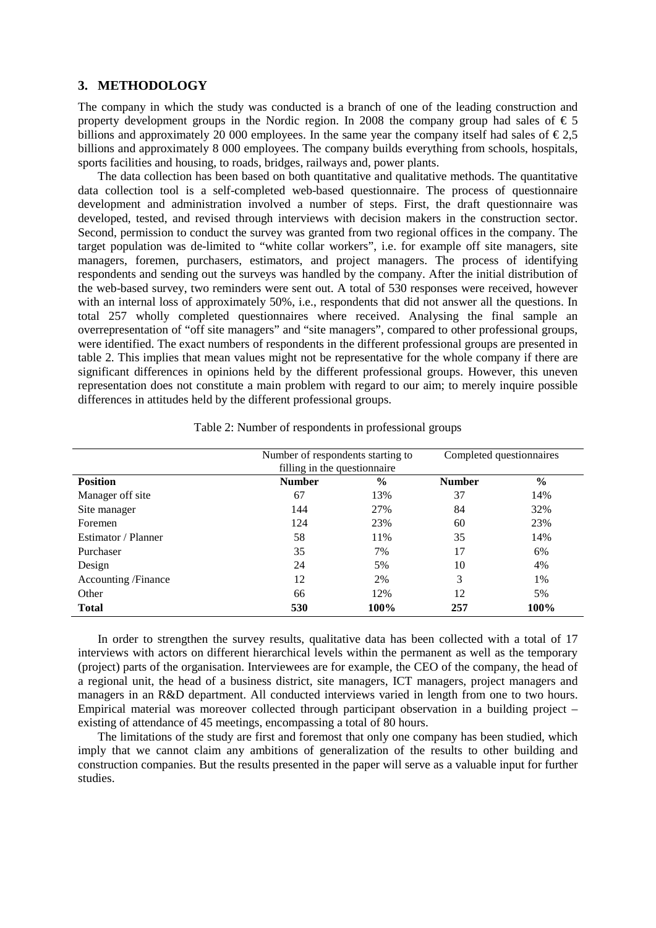### **3. METHODOLOGY**

The company in which the study was conducted is a branch of one of the leading construction and property development groups in the Nordic region. In 2008 the company group had sales of  $\epsilon$  5 billions and approximately 20 000 employees. In the same year the company itself had sales of  $\epsilon$ 2.5 billions and approximately 8 000 employees. The company builds everything from schools, hospitals, sports facilities and housing, to roads, bridges, railways and, power plants.

The data collection has been based on both quantitative and qualitative methods. The quantitative data collection tool is a self-completed web-based questionnaire. The process of questionnaire development and administration involved a number of steps. First, the draft questionnaire was developed, tested, and revised through interviews with decision makers in the construction sector. Second, permission to conduct the survey was granted from two regional offices in the company. The target population was de-limited to "white collar workers", i.e. for example off site managers, site managers, foremen, purchasers, estimators, and project managers. The process of identifying respondents and sending out the surveys was handled by the company. After the initial distribution of the web-based survey, two reminders were sent out. A total of 530 responses were received, however with an internal loss of approximately 50%, i.e., respondents that did not answer all the questions. In total 257 wholly completed questionnaires where received. Analysing the final sample an overrepresentation of "off site managers" and "site managers", compared to other professional groups, were identified. The exact numbers of respondents in the different professional groups are presented in table 2. This implies that mean values might not be representative for the whole company if there are significant differences in opinions held by the different professional groups. However, this uneven representation does not constitute a main problem with regard to our aim; to merely inquire possible differences in attitudes held by the different professional groups.

|                            | Number of respondents starting to |      | Completed questionnaires |               |  |
|----------------------------|-----------------------------------|------|--------------------------|---------------|--|
|                            | filling in the questionnaire      |      |                          |               |  |
| <b>Position</b>            | <b>Number</b><br>$\frac{6}{9}$    |      | <b>Number</b>            | $\frac{6}{6}$ |  |
| Manager off site           | 67                                | 13%  | 37                       | 14%           |  |
| Site manager               | 144                               | 27%  | 84                       | 32%           |  |
| Foremen                    | 124                               | 23%  | 60                       | 23%           |  |
| Estimator / Planner        | 58                                | 11%  | 35                       | 14%           |  |
| Purchaser                  | 35                                | 7%   | 17                       | 6%            |  |
| Design                     | 24                                | 5%   | 10                       | 4%            |  |
| <b>Accounting /Finance</b> | 12                                | 2%   | 3                        | 1%            |  |
| Other                      | 66                                | 12%  | 12                       | 5%            |  |
| <b>Total</b>               | 530                               | 100% | 257                      | 100%          |  |

Table 2: Number of respondents in professional groups

In order to strengthen the survey results, qualitative data has been collected with a total of 17 interviews with actors on different hierarchical levels within the permanent as well as the temporary (project) parts of the organisation. Interviewees are for example, the CEO of the company, the head of a regional unit, the head of a business district, site managers, ICT managers, project managers and managers in an R&D department. All conducted interviews varied in length from one to two hours. Empirical material was moreover collected through participant observation in a building project – existing of attendance of 45 meetings, encompassing a total of 80 hours.

The limitations of the study are first and foremost that only one company has been studied, which imply that we cannot claim any ambitions of generalization of the results to other building and construction companies. But the results presented in the paper will serve as a valuable input for further studies.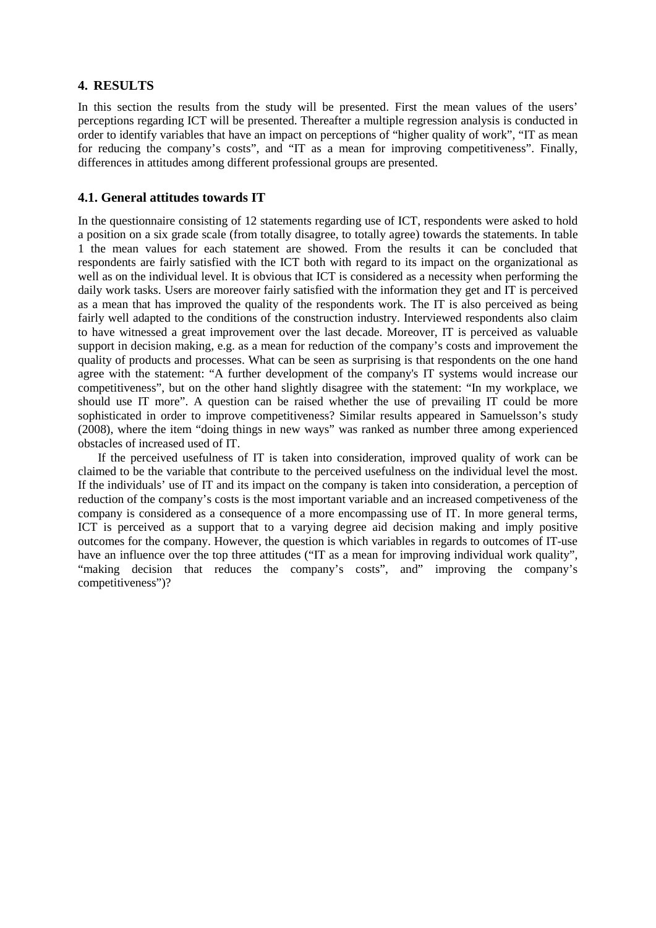### **4. RESULTS**

In this section the results from the study will be presented. First the mean values of the users' perceptions regarding ICT will be presented. Thereafter a multiple regression analysis is conducted in order to identify variables that have an impact on perceptions of "higher quality of work", "IT as mean for reducing the company's costs", and "IT as a mean for improving competitiveness". Finally, differences in attitudes among different professional groups are presented.

### **4.1. General attitudes towards IT**

In the questionnaire consisting of 12 statements regarding use of ICT, respondents were asked to hold a position on a six grade scale (from totally disagree, to totally agree) towards the statements. In table 1 the mean values for each statement are showed. From the results it can be concluded that respondents are fairly satisfied with the ICT both with regard to its impact on the organizational as well as on the individual level. It is obvious that ICT is considered as a necessity when performing the daily work tasks. Users are moreover fairly satisfied with the information they get and IT is perceived as a mean that has improved the quality of the respondents work. The IT is also perceived as being fairly well adapted to the conditions of the construction industry. Interviewed respondents also claim to have witnessed a great improvement over the last decade. Moreover, IT is perceived as valuable support in decision making, e.g. as a mean for reduction of the company's costs and improvement the quality of products and processes. What can be seen as surprising is that respondents on the one hand agree with the statement: "A further development of the company's IT systems would increase our competitiveness", but on the other hand slightly disagree with the statement: "In my workplace, we should use IT more". A question can be raised whether the use of prevailing IT could be more sophisticated in order to improve competitiveness? Similar results appeared in Samuelsson's study (2008), where the item "doing things in new ways" was ranked as number three among experienced obstacles of increased used of IT.

If the perceived usefulness of IT is taken into consideration, improved quality of work can be claimed to be the variable that contribute to the perceived usefulness on the individual level the most. If the individuals' use of IT and its impact on the company is taken into consideration, a perception of reduction of the company's costs is the most important variable and an increased competiveness of the company is considered as a consequence of a more encompassing use of IT. In more general terms, ICT is perceived as a support that to a varying degree aid decision making and imply positive outcomes for the company. However, the question is which variables in regards to outcomes of IT-use have an influence over the top three attitudes ("IT as a mean for improving individual work quality", "making decision that reduces the company's costs", and" improving the company's competitiveness")?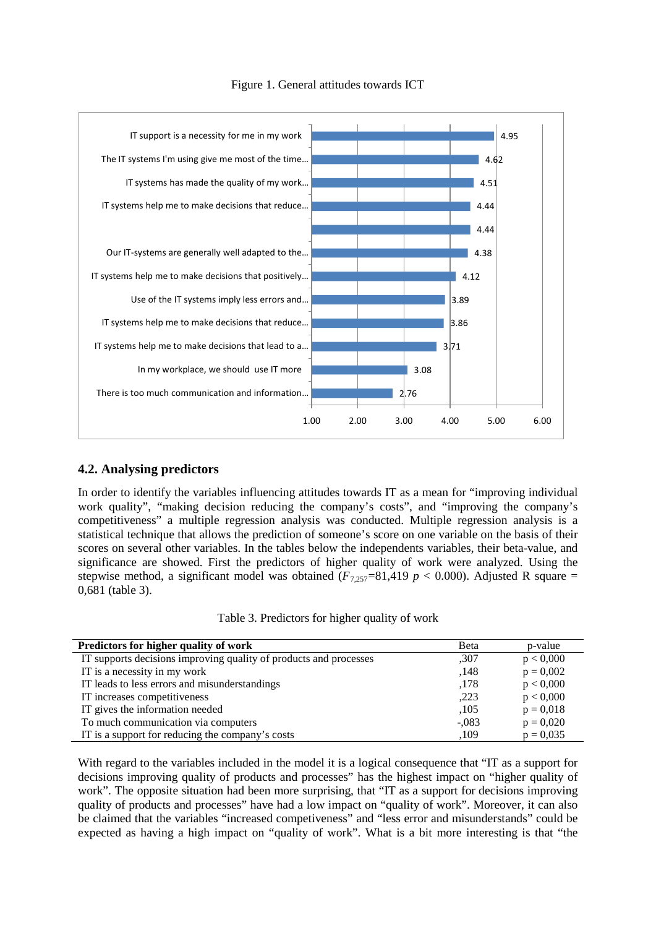

# Figure 1. General attitudes towards ICT

# **4.2. Analysing predictors**

In order to identify the variables influencing attitudes towards IT as a mean for "improving individual work quality", "making decision reducing the company's costs", and "improving the company's competitiveness" a multiple regression analysis was conducted. Multiple regression analysis is a statistical technique that allows the prediction of someone's score on one variable on the basis of their scores on several other variables. In the tables below the independents variables, their beta-value, and significance are showed. First the predictors of higher quality of work were analyzed. Using the stepwise method, a significant model was obtained  $(F_{7,257}=81,419 \, p < 0.000)$ . Adjusted R square = 0,681 (table 3).

| Predictors for higher quality of work                             | <b>B</b> eta | p-value     |
|-------------------------------------------------------------------|--------------|-------------|
| IT supports decisions improving quality of products and processes | ,307         | p < 0,000   |
| IT is a necessity in my work                                      | .148         | $p = 0,002$ |
| IT leads to less errors and misunderstandings                     | .178         | p < 0,000   |
| IT increases competitiveness                                      | ,223         | p < 0,000   |
| IT gives the information needed                                   | ,105         | $p = 0.018$ |
| To much communication via computers                               | $-.083$      | $p = 0,020$ |
| IT is a support for reducing the company's costs                  | ,109         | $p = 0,035$ |

With regard to the variables included in the model it is a logical consequence that "IT as a support for decisions improving quality of products and processes" has the highest impact on "higher quality of work". The opposite situation had been more surprising, that "IT as a support for decisions improving quality of products and processes" have had a low impact on "quality of work". Moreover, it can also be claimed that the variables "increased competiveness" and "less error and misunderstands" could be expected as having a high impact on "quality of work". What is a bit more interesting is that "the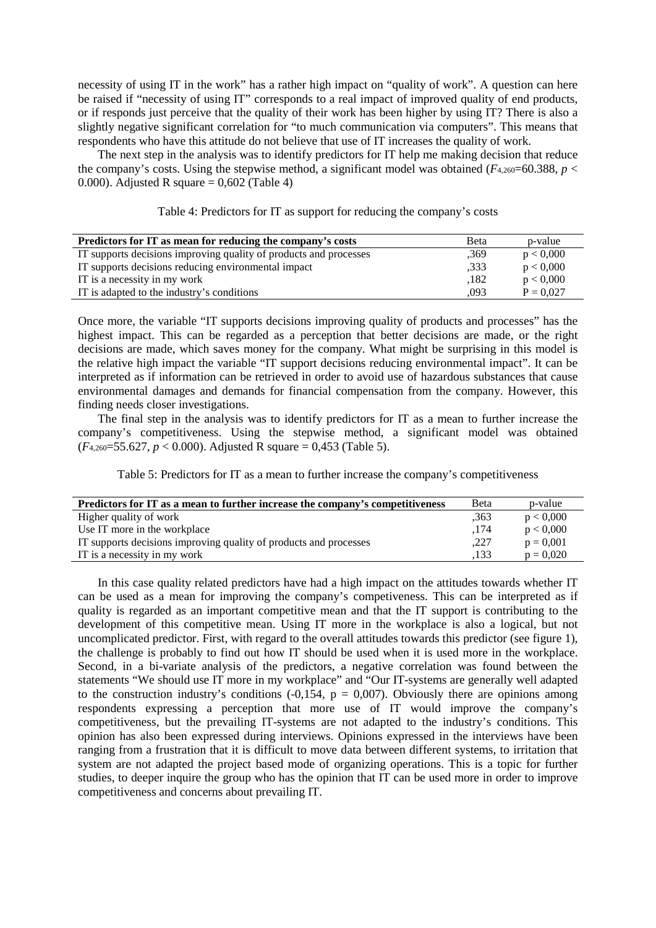necessity of using IT in the work" has a rather high impact on "quality of work". A question can here be raised if "necessity of using IT" corresponds to a real impact of improved quality of end products, or if responds just perceive that the quality of their work has been higher by using IT? There is also a slightly negative significant correlation for "to much communication via computers". This means that respondents who have this attitude do not believe that use of IT increases the quality of work.

The next step in the analysis was to identify predictors for IT help me making decision that reduce the company's costs. Using the stepwise method, a significant model was obtained ( $F_{4,260}=60.388$ ,  $p <$ 0.000). Adjusted R square  $= 0.602$  (Table 4)

Table 4: Predictors for IT as support for reducing the company's costs

| Predictors for IT as mean for reducing the company's costs        | <b>B</b> eta | p-value     |
|-------------------------------------------------------------------|--------------|-------------|
| IT supports decisions improving quality of products and processes | .369         | p < 0.000   |
| IT supports decisions reducing environmental impact               | .333         | p < 0.000   |
| IT is a necessity in my work                                      | .182         | p < 0.000   |
| IT is adapted to the industry's conditions                        | .093         | $P = 0.027$ |

Once more, the variable "IT supports decisions improving quality of products and processes" has the highest impact. This can be regarded as a perception that better decisions are made, or the right decisions are made, which saves money for the company. What might be surprising in this model is the relative high impact the variable "IT support decisions reducing environmental impact". It can be interpreted as if information can be retrieved in order to avoid use of hazardous substances that cause environmental damages and demands for financial compensation from the company. However, this finding needs closer investigations.

The final step in the analysis was to identify predictors for IT as a mean to further increase the company's competitiveness. Using the stepwise method, a significant model was obtained  $(F_{4,260} = 55.627, p < 0.000)$ . Adjusted R square = 0,453 (Table 5).

Table 5: Predictors for IT as a mean to further increase the company's competitiveness

| Predictors for IT as a mean to further increase the company's competitiveness | Beta | p-value     |
|-------------------------------------------------------------------------------|------|-------------|
| Higher quality of work                                                        | ,363 | p < 0,000   |
| Use IT more in the workplace                                                  | .174 | p < 0.000   |
| IT supports decisions improving quality of products and processes             | ,227 | $p = 0.001$ |
| IT is a necessity in my work                                                  | .133 | $p = 0.020$ |

In this case quality related predictors have had a high impact on the attitudes towards whether IT can be used as a mean for improving the company's competiveness. This can be interpreted as if quality is regarded as an important competitive mean and that the IT support is contributing to the development of this competitive mean. Using IT more in the workplace is also a logical, but not uncomplicated predictor. First, with regard to the overall attitudes towards this predictor (see figure 1), the challenge is probably to find out how IT should be used when it is used more in the workplace. Second, in a bi-variate analysis of the predictors, a negative correlation was found between the statements "We should use IT more in my workplace" and "Our IT-systems are generally well adapted to the construction industry's conditions (-0,154,  $p = 0.007$ ). Obviously there are opinions among respondents expressing a perception that more use of IT would improve the company's competitiveness, but the prevailing IT-systems are not adapted to the industry's conditions. This opinion has also been expressed during interviews. Opinions expressed in the interviews have been ranging from a frustration that it is difficult to move data between different systems, to irritation that system are not adapted the project based mode of organizing operations. This is a topic for further studies, to deeper inquire the group who has the opinion that IT can be used more in order to improve competitiveness and concerns about prevailing IT.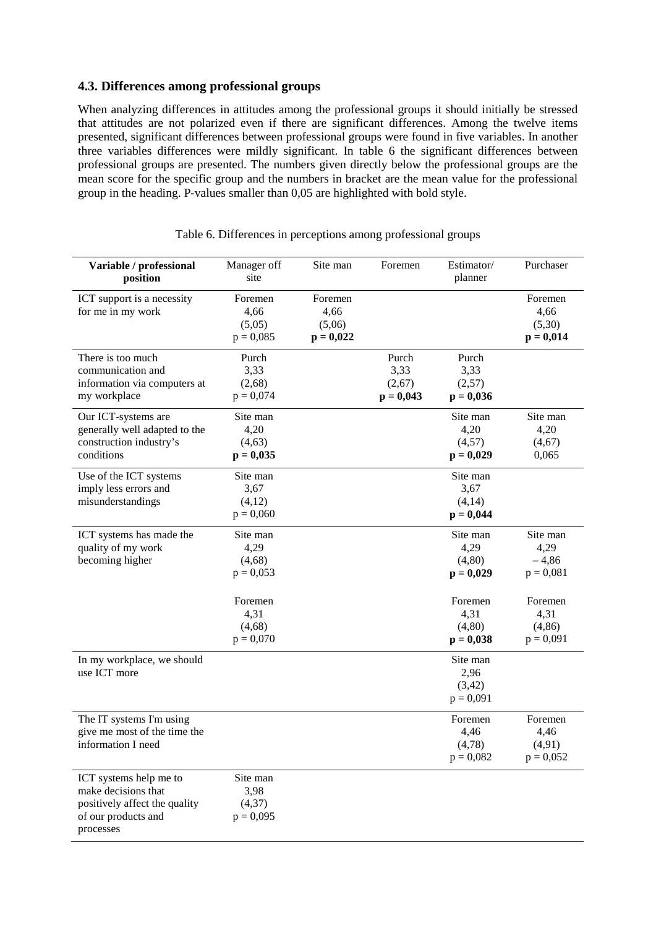# **4.3. Differences among professional groups**

When analyzing differences in attitudes among the professional groups it should initially be stressed that attitudes are not polarized even if there are significant differences. Among the twelve items presented, significant differences between professional groups were found in five variables. In another three variables differences were mildly significant. In table 6 the significant differences between professional groups are presented. The numbers given directly below the professional groups are the mean score for the specific group and the numbers in bracket are the mean value for the professional group in the heading. P-values smaller than 0,05 are highlighted with bold style.

| Variable / professional<br>position                                                                                | Manager off<br>site                        | Site man                                 | Foremen                                | Estimator/<br>planner                      | Purchaser                                  |
|--------------------------------------------------------------------------------------------------------------------|--------------------------------------------|------------------------------------------|----------------------------------------|--------------------------------------------|--------------------------------------------|
| ICT support is a necessity<br>for me in my work                                                                    | Foremen<br>4,66<br>(5,05)<br>$p = 0,085$   | Foremen<br>4,66<br>(5,06)<br>$p = 0,022$ |                                        |                                            | Foremen<br>4,66<br>(5,30)<br>$p = 0,014$   |
| There is too much<br>communication and<br>information via computers at<br>my workplace                             | Purch<br>3,33<br>(2,68)<br>$p = 0,074$     |                                          | Purch<br>3,33<br>(2,67)<br>$p = 0,043$ | Purch<br>3,33<br>(2,57)<br>$p = 0,036$     |                                            |
| Our ICT-systems are<br>generally well adapted to the<br>construction industry's<br>conditions                      | Site man<br>4,20<br>(4, 63)<br>$p = 0,035$ |                                          |                                        | Site man<br>4,20<br>(4,57)<br>$p = 0,029$  | Site man<br>4,20<br>(4,67)<br>0,065        |
| Use of the ICT systems<br>imply less errors and<br>misunderstandings                                               | Site man<br>3,67<br>(4,12)<br>$p = 0,060$  |                                          |                                        | Site man<br>3,67<br>(4,14)<br>$p = 0,044$  |                                            |
| ICT systems has made the<br>quality of my work<br>becoming higher                                                  | Site man<br>4,29<br>(4,68)<br>$p = 0,053$  |                                          |                                        | Site man<br>4,29<br>(4, 80)<br>$p = 0,029$ | Site man<br>4,29<br>$-4,86$<br>$p = 0,081$ |
|                                                                                                                    | Foremen<br>4,31<br>(4,68)<br>$p = 0,070$   |                                          |                                        | Foremen<br>4,31<br>(4, 80)<br>$p = 0,038$  | Foremen<br>4,31<br>(4, 86)<br>$p = 0,091$  |
| In my workplace, we should<br>use ICT more                                                                         |                                            |                                          |                                        | Site man<br>2,96<br>(3,42)<br>$p = 0,091$  |                                            |
| The IT systems I'm using<br>give me most of the time the<br>information I need                                     |                                            |                                          |                                        | Foremen<br>4,46<br>(4,78)<br>$p = 0,082$   | Foremen<br>4,46<br>(4, 91)<br>$p = 0,052$  |
| ICT systems help me to<br>make decisions that<br>positively affect the quality<br>of our products and<br>processes | Site man<br>3,98<br>(4, 37)<br>$p = 0,095$ |                                          |                                        |                                            |                                            |

### Table 6. Differences in perceptions among professional groups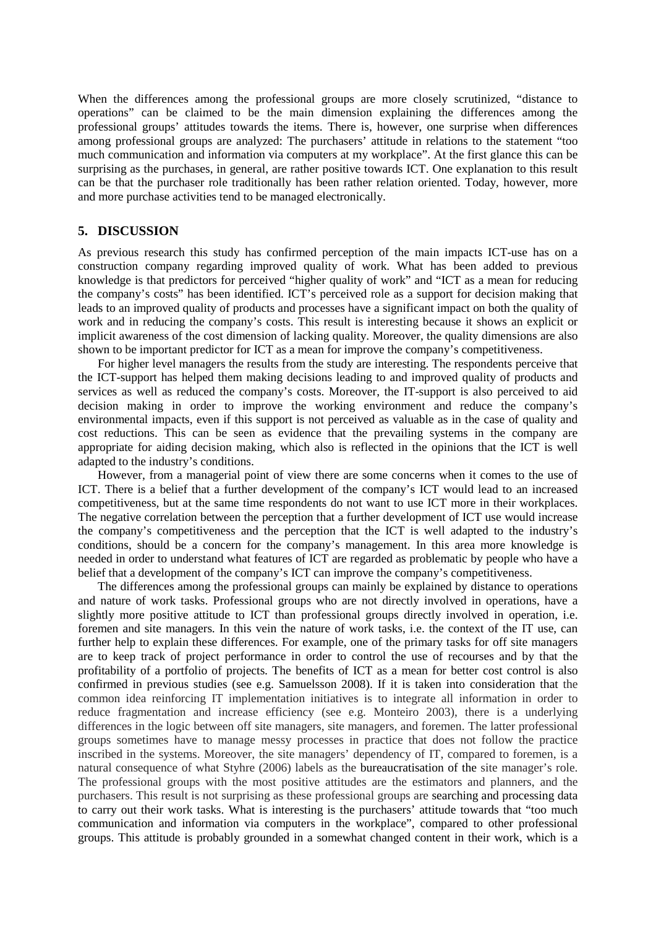When the differences among the professional groups are more closely scrutinized, "distance to operations" can be claimed to be the main dimension explaining the differences among the professional groups' attitudes towards the items. There is, however, one surprise when differences among professional groups are analyzed: The purchasers' attitude in relations to the statement "too much communication and information via computers at my workplace". At the first glance this can be surprising as the purchases, in general, are rather positive towards ICT. One explanation to this result can be that the purchaser role traditionally has been rather relation oriented. Today, however, more and more purchase activities tend to be managed electronically.

#### **5. DISCUSSION**

As previous research this study has confirmed perception of the main impacts ICT-use has on a construction company regarding improved quality of work. What has been added to previous knowledge is that predictors for perceived "higher quality of work" and "ICT as a mean for reducing the company's costs" has been identified. ICT's perceived role as a support for decision making that leads to an improved quality of products and processes have a significant impact on both the quality of work and in reducing the company's costs. This result is interesting because it shows an explicit or implicit awareness of the cost dimension of lacking quality. Moreover, the quality dimensions are also shown to be important predictor for ICT as a mean for improve the company's competitiveness.

For higher level managers the results from the study are interesting. The respondents perceive that the ICT-support has helped them making decisions leading to and improved quality of products and services as well as reduced the company's costs. Moreover, the IT-support is also perceived to aid decision making in order to improve the working environment and reduce the company's environmental impacts, even if this support is not perceived as valuable as in the case of quality and cost reductions. This can be seen as evidence that the prevailing systems in the company are appropriate for aiding decision making, which also is reflected in the opinions that the ICT is well adapted to the industry's conditions.

However, from a managerial point of view there are some concerns when it comes to the use of ICT. There is a belief that a further development of the company's ICT would lead to an increased competitiveness, but at the same time respondents do not want to use ICT more in their workplaces. The negative correlation between the perception that a further development of ICT use would increase the company's competitiveness and the perception that the ICT is well adapted to the industry's conditions, should be a concern for the company's management. In this area more knowledge is needed in order to understand what features of ICT are regarded as problematic by people who have a belief that a development of the company's ICT can improve the company's competitiveness.

The differences among the professional groups can mainly be explained by distance to operations and nature of work tasks. Professional groups who are not directly involved in operations, have a slightly more positive attitude to ICT than professional groups directly involved in operation, i.e. foremen and site managers. In this vein the nature of work tasks, i.e. the context of the IT use, can further help to explain these differences. For example, one of the primary tasks for off site managers are to keep track of project performance in order to control the use of recourses and by that the profitability of a portfolio of projects. The benefits of ICT as a mean for better cost control is also confirmed in previous studies (see e.g. Samuelsson 2008). If it is taken into consideration that the common idea reinforcing IT implementation initiatives is to integrate all information in order to reduce fragmentation and increase efficiency (see e.g. Monteiro 2003), there is a underlying differences in the logic between off site managers, site managers, and foremen. The latter professional groups sometimes have to manage messy processes in practice that does not follow the practice inscribed in the systems. Moreover, the site managers' dependency of IT, compared to foremen, is a natural consequence of what Styhre (2006) labels as the bureaucratisation of the site manager's role. The professional groups with the most positive attitudes are the estimators and planners, and the purchasers. This result is not surprising as these professional groups are searching and processing data to carry out their work tasks. What is interesting is the purchasers' attitude towards that "too much communication and information via computers in the workplace", compared to other professional groups. This attitude is probably grounded in a somewhat changed content in their work, which is a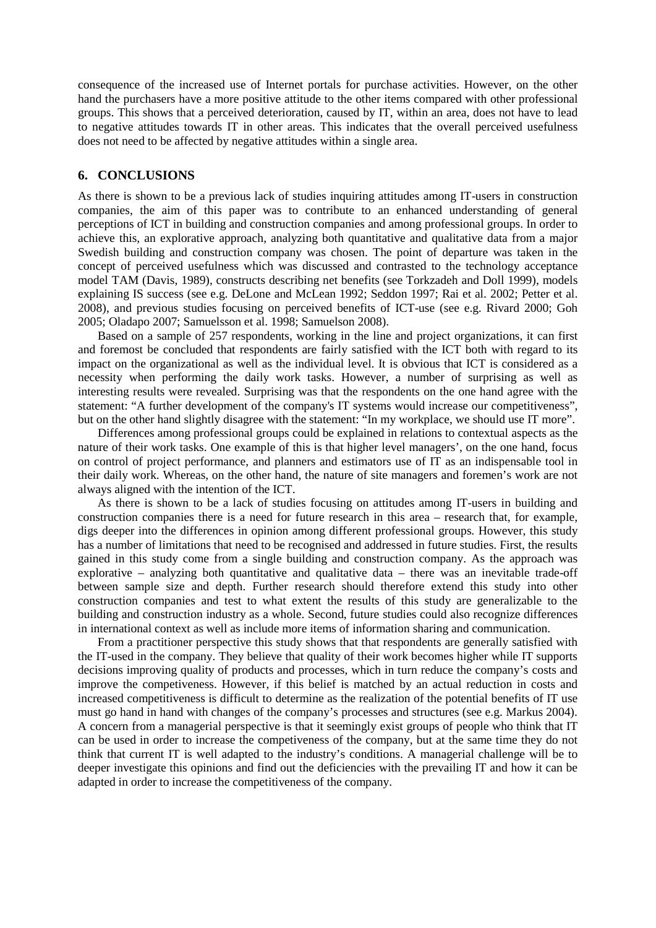consequence of the increased use of Internet portals for purchase activities. However, on the other hand the purchasers have a more positive attitude to the other items compared with other professional groups. This shows that a perceived deterioration, caused by IT, within an area, does not have to lead to negative attitudes towards IT in other areas. This indicates that the overall perceived usefulness does not need to be affected by negative attitudes within a single area.

### **6. CONCLUSIONS**

As there is shown to be a previous lack of studies inquiring attitudes among IT-users in construction companies, the aim of this paper was to contribute to an enhanced understanding of general perceptions of ICT in building and construction companies and among professional groups. In order to achieve this, an explorative approach, analyzing both quantitative and qualitative data from a major Swedish building and construction company was chosen. The point of departure was taken in the concept of perceived usefulness which was discussed and contrasted to the technology acceptance model TAM (Davis, 1989), constructs describing net benefits (see Torkzadeh and Doll 1999), models explaining IS success (see e.g. DeLone and McLean 1992; Seddon 1997; Rai et al. 2002; Petter et al. 2008), and previous studies focusing on perceived benefits of ICT-use (see e.g. Rivard 2000; Goh 2005; Oladapo 2007; Samuelsson et al. 1998; Samuelson 2008).

Based on a sample of 257 respondents, working in the line and project organizations, it can first and foremost be concluded that respondents are fairly satisfied with the ICT both with regard to its impact on the organizational as well as the individual level. It is obvious that ICT is considered as a necessity when performing the daily work tasks. However, a number of surprising as well as interesting results were revealed. Surprising was that the respondents on the one hand agree with the statement: "A further development of the company's IT systems would increase our competitiveness", but on the other hand slightly disagree with the statement: "In my workplace, we should use IT more".

Differences among professional groups could be explained in relations to contextual aspects as the nature of their work tasks. One example of this is that higher level managers', on the one hand, focus on control of project performance, and planners and estimators use of IT as an indispensable tool in their daily work. Whereas, on the other hand, the nature of site managers and foremen's work are not always aligned with the intention of the ICT.

As there is shown to be a lack of studies focusing on attitudes among IT-users in building and construction companies there is a need for future research in this area – research that, for example, digs deeper into the differences in opinion among different professional groups. However, this study has a number of limitations that need to be recognised and addressed in future studies. First, the results gained in this study come from a single building and construction company. As the approach was explorative – analyzing both quantitative and qualitative data – there was an inevitable trade-off between sample size and depth. Further research should therefore extend this study into other construction companies and test to what extent the results of this study are generalizable to the building and construction industry as a whole. Second, future studies could also recognize differences in international context as well as include more items of information sharing and communication.

From a practitioner perspective this study shows that that respondents are generally satisfied with the IT-used in the company. They believe that quality of their work becomes higher while IT supports decisions improving quality of products and processes, which in turn reduce the company's costs and improve the competiveness. However, if this belief is matched by an actual reduction in costs and increased competitiveness is difficult to determine as the realization of the potential benefits of IT use must go hand in hand with changes of the company's processes and structures (see e.g. Markus 2004). A concern from a managerial perspective is that it seemingly exist groups of people who think that IT can be used in order to increase the competiveness of the company, but at the same time they do not think that current IT is well adapted to the industry's conditions. A managerial challenge will be to deeper investigate this opinions and find out the deficiencies with the prevailing IT and how it can be adapted in order to increase the competitiveness of the company.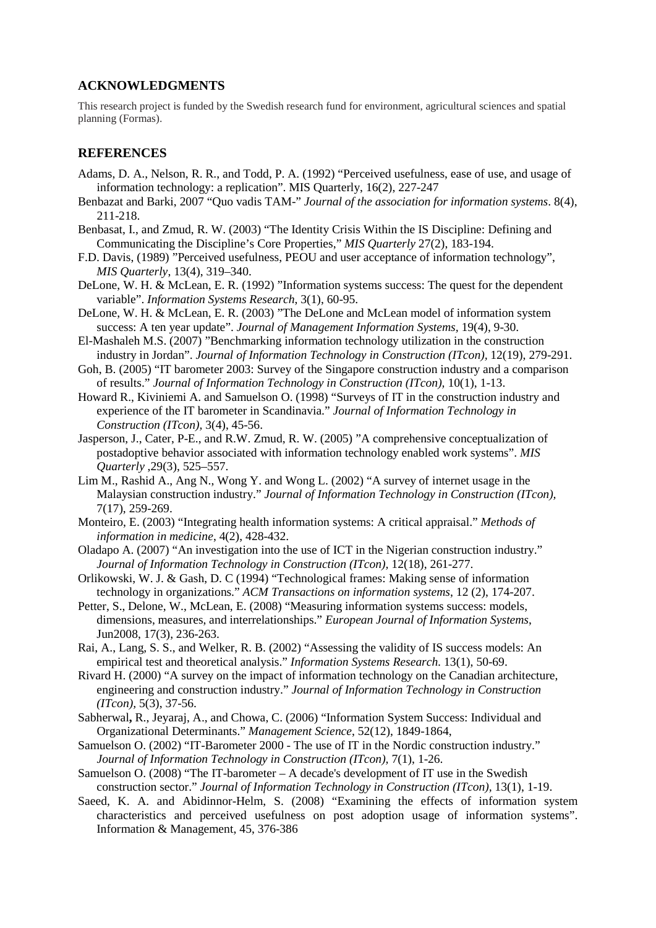# **ACKNOWLEDGMENTS**

This research project is funded by the Swedish research fund for environment, agricultural sciences and spatial planning (Formas).

# **REFERENCES**

- Adams, D. A., Nelson, R. R., and Todd, P. A. (1992) "Perceived usefulness, ease of use, and usage of information technology: a replication". MIS Quarterly, 16(2), 227-247
- Benbazat and Barki, 2007 "Quo vadis TAM-" *Journal of the association for information systems*. 8(4), 211-218.
- Benbasat, I., and Zmud, R. W. (2003) "The Identity Crisis Within the IS Discipline: Defining and Communicating the Discipline's Core Properties," *MIS Quarterly* 27(2), 183-194.
- F.D. Davis, (1989) "Perceived usefulness, PEOU and user acceptance of information technology", *MIS Quarterly*, 13(4), 319–340.
- DeLone, W. H. & McLean, E. R. (1992) "Information systems success: The quest for the dependent variable". *Information Systems Research*, 3(1), 60-95.
- DeLone, W. H. & McLean, E. R. (2003) "The DeLone and McLean model of information system success: A ten year update". *Journal of Management Information Systems,* 19(4), 9-30.
- El-Mashaleh M.S. (2007) "Benchmarking information technology utilization in the construction industry in Jordan". *Journal of Information Technology in Construction (ITcon)*, 12(19), 279-291.
- Goh, B. (2005) "IT barometer 2003: Survey of the Singapore construction industry and a comparison of results." *Journal of Information Technology in Construction (ITcon),* 10(1), 1-13.
- Howard R., Kiviniemi A. and Samuelson O. (1998) "Surveys of IT in the construction industry and experience of the IT barometer in Scandinavia." *Journal of Information Technology in Construction (ITcon),* 3(4), 45-56.
- Jasperson, J., Cater, P-E., and R.W. Zmud, R. W. (2005) "A comprehensive conceptualization of postadoptive behavior associated with information technology enabled work systems". *MIS Quarterly* ,29(3), 525–557.
- Lim M., Rashid A., Ang N., Wong Y. and Wong L. (2002) "A survey of internet usage in the Malaysian construction industry." *Journal of Information Technology in Construction (ITcon),*  7(17), 259-269.
- Monteiro, E. (2003) "Integrating health information systems: A critical appraisal." *Methods of information in medicine*, 4(2), 428-432.
- Oladapo A. (2007) "An investigation into the use of ICT in the Nigerian construction industry." *Journal of Information Technology in Construction (ITcon),* 12(18), 261-277.
- Orlikowski, W. J. & Gash, D. C (1994) "Technological frames: Making sense of information technology in organizations." *ACM Transactions on information systems*, 12 (2), 174-207.
- Petter, S., Delone, W., McLean, E. (2008) "Measuring information systems success: models, dimensions, measures, and interrelationships ." *European Journal of Information Systems*, Jun2008, 17(3), 236-263.
- Rai, A., Lang, S. S., and Welker, R. B. (2002) "Assessing the validity of IS success models: An empirical test and theoretical analysis." *Information Systems Research.* 13(1), 50-69.
- Rivard H. (2000) "A survey on the impact of information technology on the Canadian architecture, engineering and construction industry." *Journal of Information Technology in Construction (ITcon),* 5(3), 37-56.
- Sabherwal**,** R., Jeyaraj, A., and Chowa, C. (2006) "Information System Success: Individual and Organizational Determinants." *Management Science*, 52(12), 1849-1864,
- Samuelson O. (2002) "IT-Barometer 2000 The use of IT in the Nordic construction industry." *Journal of Information Technology in Construction (ITcon),* 7(1), 1-26.
- Samuelson O. (2008) "The IT-barometer A decade's development of IT use in the Swedish construction sector." *Journal of Information Technology in Construction (ITcon),* 13(1), 1-19.
- Saeed, K. A. and Abidinnor-Helm, S. (2008) "Examining the effects of information system characteristics and perceived usefulness on post adoption usage of information systems". Information & Management, 45, 376-386